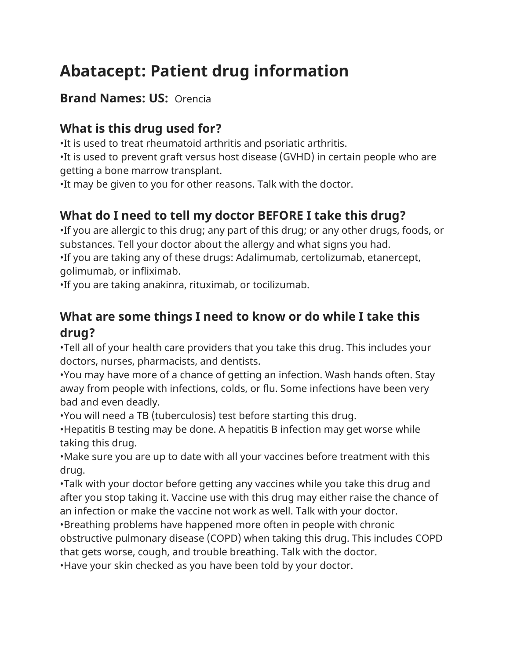# **Abatacept: Patient drug information**

#### **Brand Names: US:** Orencia

# **What is this drug used for?**

•It is used to treat rheumatoid arthritis and psoriatic arthritis.

•It is used to prevent graft versus host disease (GVHD) in certain people who are getting a bone marrow transplant.

•It may be given to you for other reasons. Talk with the doctor.

# **What do I need to tell my doctor BEFORE I take this drug?**

•If you are allergic to this drug; any part of this drug; or any other drugs, foods, or substances. Tell your doctor about the allergy and what signs you had.

•If you are taking any of these drugs: Adalimumab, certolizumab, etanercept, golimumab, or infliximab.

•If you are taking anakinra, rituximab, or tocilizumab.

## **What are some things I need to know or do while I take this drug?**

•Tell all of your health care providers that you take this drug. This includes your doctors, nurses, pharmacists, and dentists.

•You may have more of a chance of getting an infection. Wash hands often. Stay away from people with infections, colds, or flu. Some infections have been very bad and even deadly.

•You will need a TB (tuberculosis) test before starting this drug.

•Hepatitis B testing may be done. A hepatitis B infection may get worse while taking this drug.

•Make sure you are up to date with all your vaccines before treatment with this drug.

•Talk with your doctor before getting any vaccines while you take this drug and after you stop taking it. Vaccine use with this drug may either raise the chance of an infection or make the vaccine not work as well. Talk with your doctor.

•Breathing problems have happened more often in people with chronic obstructive pulmonary disease (COPD) when taking this drug. This includes COPD that gets worse, cough, and trouble breathing. Talk with the doctor.

•Have your skin checked as you have been told by your doctor.